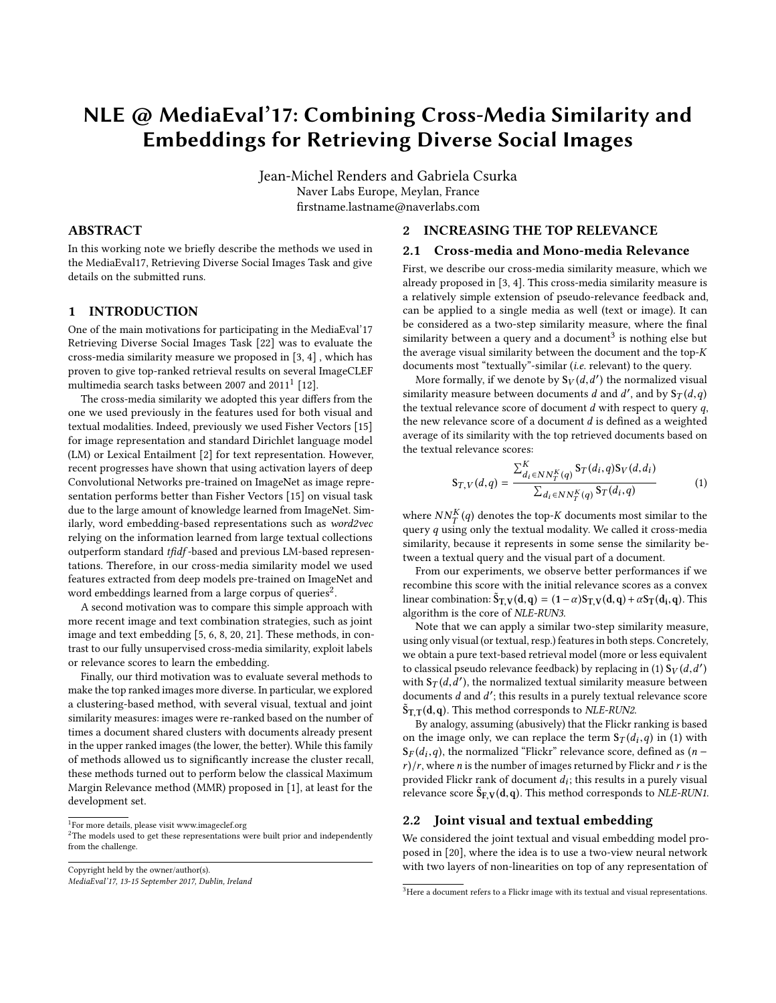# NLE @ MediaEval'17: Combining Cross-Media Similarity and Embeddings for Retrieving Diverse Social Images

Jean-Michel Renders and Gabriela Csurka Naver Labs Europe, Meylan, France firstname.lastname@naverlabs.com

## ABSTRACT

In this working note we briefly describe the methods we used in the MediaEval17, Retrieving Diverse Social Images Task and give details on the submitted runs.

## 1 INTRODUCTION

One of the main motivations for participating in the MediaEval'17 Retrieving Diverse Social Images Task [\[22\]](#page-2-0) was to evaluate the cross-media similarity measure we proposed in [\[3,](#page-2-1) [4\]](#page-2-2) , which has proven to give top-ranked retrieval results on several ImageCLEF multimedia search tasks between 2007 and  $2011^1$  $2011^1$  $2011^1$  [\[12\]](#page-2-3).

The cross-media similarity we adopted this year differs from the one we used previously in the features used for both visual and textual modalities. Indeed, previously we used Fisher Vectors [\[15\]](#page-2-4) for image representation and standard Dirichlet language model (LM) or Lexical Entailment [\[2\]](#page-2-5) for text representation. However, recent progresses have shown that using activation layers of deep Convolutional Networks pre-trained on ImageNet as image representation performs better than Fisher Vectors [\[15\]](#page-2-4) on visual task due to the large amount of knowledge learned from ImageNet. Similarly, word embedding-based representations such as word2vec relying on the information learned from large textual collections outperform standard tfidf -based and previous LM-based representations. Therefore, in our cross-media similarity model we used features extracted from deep models pre-trained on ImageNet and word embeddings learned from a large corpus of queries<sup>[2](#page-0-1)</sup>.

A second motivation was to compare this simple approach with more recent image and text combination strategies, such as joint image and text embedding [\[5,](#page-2-6) [6,](#page-2-7) [8,](#page-2-8) [20,](#page-2-9) [21\]](#page-2-10). These methods, in contrast to our fully unsupervised cross-media similarity, exploit labels or relevance scores to learn the embedding.

Finally, our third motivation was to evaluate several methods to make the top ranked images more diverse. In particular, we explored a clustering-based method, with several visual, textual and joint similarity measures: images were re-ranked based on the number of times a document shared clusters with documents already present in the upper ranked images (the lower, the better). While this family of methods allowed us to significantly increase the cluster recall, these methods turned out to perform below the classical Maximum Margin Relevance method (MMR) proposed in [\[1\]](#page-2-11), at least for the development set.

<span id="page-0-0"></span><sup>1</sup>For more details, please visit<www.imageclef.org>

<span id="page-0-1"></span> $2$ The models used to get these representations were built prior and independently from the challenge.

Copyright held by the owner/author(s). MediaEval'17, 13-15 September 2017, Dublin, Ireland

### 2 INCREASING THE TOP RELEVANCE

# 2.1 Cross-media and Mono-media Relevance

First, we describe our cross-media similarity measure, which we already proposed in [\[3,](#page-2-1) [4\]](#page-2-2). This cross-media similarity measure is a relatively simple extension of pseudo-relevance feedback and, can be applied to a single media as well (text or image). It can be considered as a two-step similarity measure, where the final similarity between a query and a document<sup>[3](#page-0-2)</sup> is nothing else but the average visual similarity between the document and the top- $K$ documents most "textually"-similar (i.e. relevant) to the query.

More formally, if we denote by  $S_V(d, d')$  the normalized visual<br>pilarity measure between documents d and d' and by  $S_V(d, d)$ similarity measure between documents d and d', and by  $S_T(d,q)$ <br>the textual relevance scare of document d with respect to query a the textual relevance score of document  $d$  with respect to query  $q$ , the new relevance score of a document d is defined as a weighted average of its similarity with the top retrieved documents based on the textual relevance scores:

<span id="page-0-3"></span>
$$
S_{T,V}(d,q) = \frac{\sum_{d_i \in NN_T^K(q)}^K S_T(d_i,q) S_V(d,d_i)}{\sum_{d_i \in NN_T^K(q)} S_T(d_i,q)}
$$
(1)

where  $NN_T^K(q)$  denotes the top-K documents most similar to the query quring only the textual modality. We called it cross-media query  $q$  using only the textual modality. We called it cross-media similarity, because it represents in some sense the similarity between a textual query and the visual part of a document.

From our experiments, we observe better performances if we recombine this score with the initial relevance scores as a convex linear combination:  $\tilde{S}_{T,V}(d,q) = (1-\alpha)S_{T,V}(d,q) + \alpha S_T(d_i,q)$ . This algorithm is the core of NLE-RUN3.

Note that we can apply a similar two-step similarity measure, using only visual (or textual, resp.) features in both steps. Concretely, we obtain a pure text-based retrieval model (more or less equivalent to classical pseudo relevance feedback) by replacing in [\(1\)](#page-0-3)  $\mathbf{\hat{S}}_V(d, d')$ <br>with  $\mathbf{S}_T(d, d')$  the normalized textual similarity measure between with  $S_T(d, d')$ , the normalized textual similarity measure between<br>documents d and d', this results in a purely textual relevance score documents *d* and *d'*; this results in a purely textual relevance score  $\tilde{S}_{\text{max}}(d, a)$ . This method corresponds to  $\tilde{N}I_{\text{E}}$ - $EINN^2$  $\tilde{S}_{T,T}(d,q)$ . This method corresponds to *NLE-RUN2*.<br>By analogy, assuming (abusively) that the Flickr r

By analogy, assuming (abusively) that the Flickr ranking is based on the image only, we can replace the term  $S_T(d_i, q)$  in [\(1\)](#page-0-3) with  $S_T(d_i, q)$  the normalized "Flickr" relevance score defined as  $(n-1)$  $S_F(d_i, q)$ , the normalized "Flickr" relevance score, defined as  $(n - r)/r$ , where *n* is the number of images returned by Flickr and *r* is the  $r$ / $r$ , where *n* is the number of images returned by Flickr and  $r$  is the provided Flickr rank of document  $d_i$ ; this results in a purely visual<br>relevance score  $\tilde{S}_{\text{ext}}(d, a)$ . This method corresponds to NI E-RUN1 relevance score  $\tilde{S}_{F,V}(d,q)$ . This method corresponds to *NLE-RUN1*.

#### 2.2 Joint visual and textual embedding

We considered the joint textual and visual embedding model proposed in [\[20\]](#page-2-9), where the idea is to use a two-view neural network with two layers of non-linearities on top of any representation of

<span id="page-0-2"></span> ${}^{3}$  Here a document refers to a Flickr image with its textual and visual representations.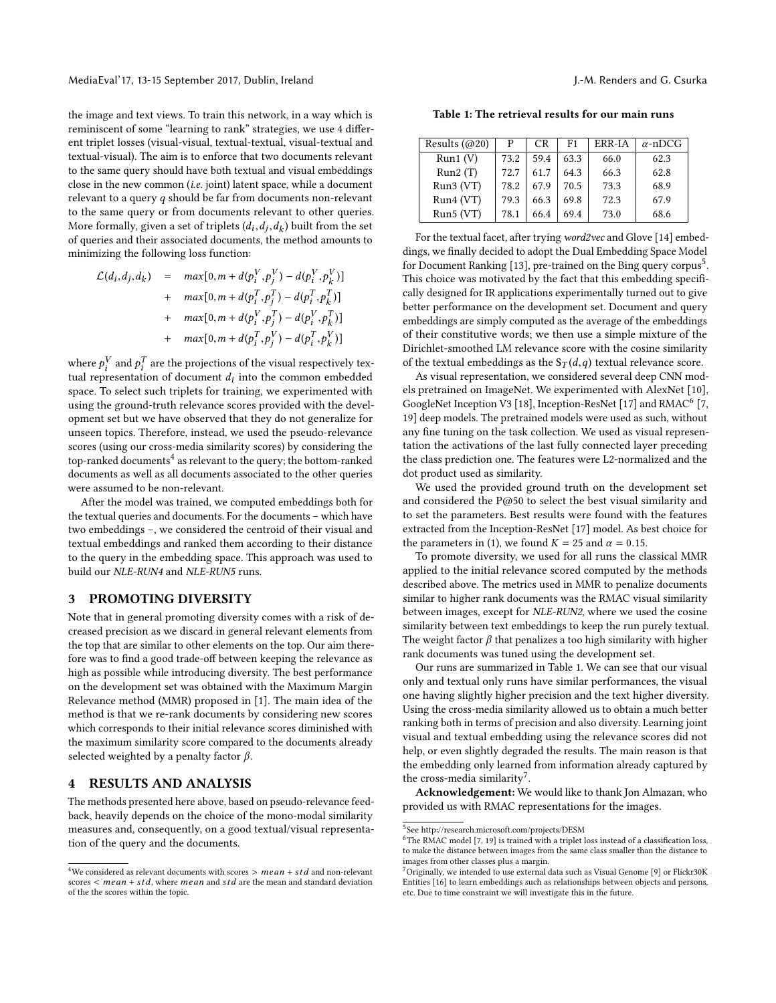the image and text views. To train this network, in a way which is reminiscent of some "learning to rank" strategies, we use 4 different triplet losses (visual-visual, textual-textual, visual-textual and textual-visual). The aim is to enforce that two documents relevant to the same query should have both textual and visual embeddings close in the new common (i.e. joint) latent space, while a document relevant to a query  $q$  should be far from documents non-relevant to the same query or from documents relevant to other queries. More formally, given a set of triplets  $(d_i, d_j, d_k)$  built from the set<br>of queries and their associated documents, the method amounts to of queries and their associated documents, the method amounts to minimizing the following loss function:

$$
\mathcal{L}(d_i, d_j, d_k) = \max[0, m + d(p_i^V, p_j^V) - d(p_i^V, p_k^V)]
$$
  
+ 
$$
\max[0, m + d(p_i^T, p_j^T) - d(p_i^T, p_k^T)]
$$
  
+ 
$$
\max[0, m + d(p_i^V, p_j^T) - d(p_i^V, p_k^T)]
$$
  
+ 
$$
\max[0, m + d(p_i^T, p_j^V) - d(p_i^T, p_k^V)]
$$

where  $p_i^V$  and  $p_i^T$  are the projections of the visual respectively tex-<br>tual representation of document d, into the common embedded tual representation of document  $d_i$  into the common embedded<br>space. To select such triplets for training, we experimented with space. To select such triplets for training, we experimented with using the ground-truth relevance scores provided with the development set but we have observed that they do not generalize for unseen topics. Therefore, instead, we used the pseudo-relevance scores (using our cross-media similarity scores) by considering the top-ranked documents<sup>[4](#page-1-0)</sup> as relevant to the query; the bottom-ranked documents as well as all documents associated to the other queries were assumed to be non-relevant.

After the model was trained, we computed embeddings both for the textual queries and documents. For the documents – which have two embeddings –, we considered the centroid of their visual and textual embeddings and ranked them according to their distance to the query in the embedding space. This approach was used to build our NLE-RUN4 and NLE-RUN5 runs.

## 3 PROMOTING DIVERSITY

Note that in general promoting diversity comes with a risk of decreased precision as we discard in general relevant elements from the top that are similar to other elements on the top. Our aim therefore was to find a good trade-off between keeping the relevance as high as possible while introducing diversity. The best performance on the development set was obtained with the Maximum Margin Relevance method (MMR) proposed in [\[1\]](#page-2-11). The main idea of the method is that we re-rank documents by considering new scores which corresponds to their initial relevance scores diminished with the maximum similarity score compared to the documents already selected weighted by a penalty factor  $\beta$ .

# 4 RESULTS AND ANALYSIS

The methods presented here above, based on pseudo-relevance feedback, heavily depends on the choice of the mono-modal similarity measures and, consequently, on a good textual/visual representation of the query and the documents.

<span id="page-1-3"></span>Table 1: The retrieval results for our main runs

| Results $(Q020)$ | Р    | CR.  | F1.  | ERR-IA | $\alpha$ -nDCG |
|------------------|------|------|------|--------|----------------|
| Run1(V)          | 73.2 | 59.4 | 63.3 | 66.0   | 62.3           |
| Run2(T)          | 72.7 | 61.7 | 64.3 | 66.3   | 62.8           |
| Run3(VT)         | 78.2 | 67.9 | 70.5 | 73.3   | 68.9           |
| Run4(VT)         | 79.3 | 66.3 | 69.8 | 72.3   | 67.9           |
| Run5(VT)         | 78.1 | 66.4 | 69.4 | 73.0   | 68.6           |

For the textual facet, after trying word2vec and Glove [\[14\]](#page-2-12) embeddings, we finally decided to adopt the Dual Embedding Space Model for Document Ranking [\[13\]](#page-2-13), pre-trained on the Bing query corpus<sup>[5](#page-1-1)</sup>. This choice was motivated by the fact that this embedding specifically designed for IR applications experimentally turned out to give better performance on the development set. Document and query embeddings are simply computed as the average of the embeddings of their constitutive words; we then use a simple mixture of the Dirichlet-smoothed LM relevance score with the cosine similarity of the textual embeddings as the  $S_T(d,q)$  textual relevance score.

As visual representation, we considered several deep CNN models pretrained on ImageNet. We experimented with AlexNet [\[10\]](#page-2-14), GoogleNet Inception V3 [\[18\]](#page-2-15), Inception-ResNet [\[17\]](#page-2-16) and RMAC<sup>[6](#page-1-2)</sup> [\[7,](#page-2-17) [19\]](#page-2-18) deep models. The pretrained models were used as such, without any fine tuning on the task collection. We used as visual representation the activations of the last fully connected layer preceding the class prediction one. The features were L2-normalized and the dot product used as similarity.

We used the provided ground truth on the development set and considered the P@50 to select the best visual similarity and to set the parameters. Best results were found with the features extracted from the Inception-ResNet [\[17\]](#page-2-16) model. As best choice for the parameters in [\(1\)](#page-0-3), we found  $K = 25$  and  $\alpha = 0.15$ .

To promote diversity, we used for all runs the classical MMR applied to the initial relevance scored computed by the methods described above. The metrics used in MMR to penalize documents similar to higher rank documents was the RMAC visual similarity between images, except for NLE-RUN2, where we used the cosine similarity between text embeddings to keep the run purely textual. The weight factor  $\beta$  that penalizes a too high similarity with higher rank documents was tuned using the development set.

Our runs are summarized in Table [1.](#page-1-3) We can see that our visual only and textual only runs have similar performances, the visual one having slightly higher precision and the text higher diversity. Using the cross-media similarity allowed us to obtain a much better ranking both in terms of precision and also diversity. Learning joint visual and textual embedding using the relevance scores did not help, or even slightly degraded the results. The main reason is that the embedding only learned from information already captured by the cross-media similarity<sup>[7](#page-1-4)</sup>.

Acknowledgement: We would like to thank Jon Almazan, who provided us with RMAC representations for the images.

<span id="page-1-0"></span> ${}^{4}{\rm We}$  considered as relevant documents with scores  $>$   $mean$   $+$   $std$  and non-relevant scores  $\leq$  mean + std, where mean and std are the mean and standard deviation of the the scores within the topic.

<span id="page-1-1"></span><sup>5</sup> See http://research.microsoft.com/projects/DESM

<span id="page-1-2"></span> $6$ The RMAC model [\[7,](#page-2-17) [19\]](#page-2-18) is trained with a triplet loss instead of a classification loss, to make the distance between images from the same class smaller than the distance to images from other classes plus a margin.

<span id="page-1-4"></span><sup>7</sup>Originally, we intended to use external data such as Visual Genome [\[9\]](#page-2-19) or Flickr30K Entities [\[16\]](#page-2-20) to learn embeddings such as relationships between objects and persons, etc. Due to time constraint we will investigate this in the future.